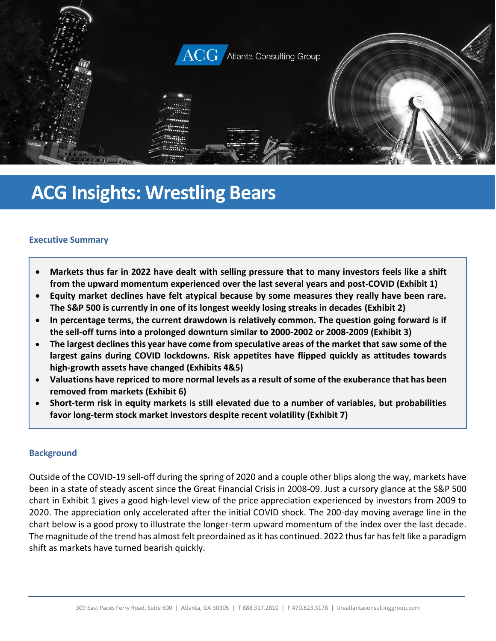

# **ACG Insights: Wrestling Bears**

## **Executive Summary**

- **Markets thus far in 2022 have dealt with selling pressure that to many investors feels like a shift from the upward momentum experienced over the last several years and post-COVID (Exhibit 1)**
- **Equity market declines have felt atypical because by some measures they really have been rare. The S&P 500 is currently in one of its longest weekly losing streaks in decades (Exhibit 2)**
- **In percentage terms, the current drawdown is relatively common. The question going forward is if the sell-off turns into a prolonged downturn similar to 2000-2002 or 2008-2009 (Exhibit 3)**
- **The largest declines this year have come from speculative areas of the market that saw some of the largest gains during COVID lockdowns. Risk appetites have flipped quickly as attitudes towards high-growth assets have changed (Exhibits 4&5)**
- **Valuations have repriced to more normal levels as a result of some of the exuberance that has been removed from markets (Exhibit 6)**
- **Short-term risk in equity markets is still elevated due to a number of variables, but probabilities favor long-term stock market investors despite recent volatility (Exhibit 7)**

#### **Background**

Outside of the COVID-19 sell-off during the spring of 2020 and a couple other blips along the way, markets have been in a state of steady ascent since the Great Financial Crisis in 2008-09. Just a cursory glance at the S&P 500 chart in Exhibit 1 gives a good high-level view of the price appreciation experienced by investors from 2009 to 2020. The appreciation only accelerated after the initial COVID shock. The 200-day moving average line in the chart below is a good proxy to illustrate the longer-term upward momentum of the index over the last decade. The magnitude of the trend has almost felt preordained as it has continued. 2022 thus far has felt like a paradigm shift as markets have turned bearish quickly.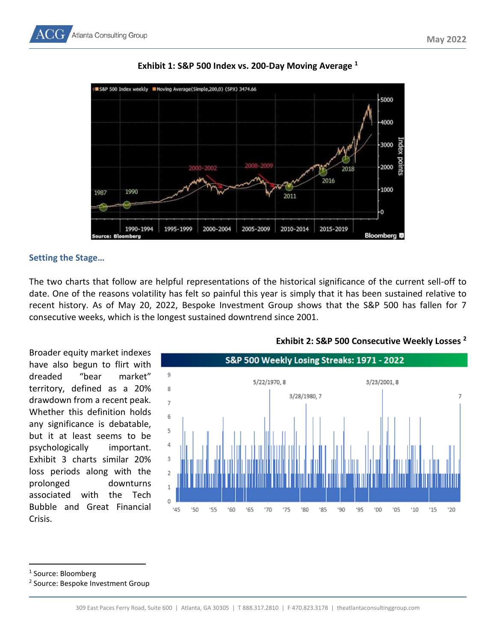

# **Exhibit 1: S&P 500 Index vs. 200-Day Moving Average <sup>1</sup>**

## **Setting the Stage…**

The two charts that follow are helpful representations of the historical significance of the current sell-off to date. One of the reasons volatility has felt so painful this year is simply that it has been sustained relative to recent history. As of May 20, 2022, Bespoke Investment Group shows that the S&P 500 has fallen for 7 consecutive weeks, which is the longest sustained downtrend since 2001.

Broader equity market indexes have also begun to flirt with dreaded "bear market" territory, defined as a 20% drawdown from a recent peak. Whether this definition holds any significance is debatable, but it at least seems to be psychologically important. Exhibit 3 charts similar 20% loss periods along with the prolonged downturns associated with the Tech Bubble and Great Financial Crisis.



## **Exhibit 2: S&P 500 Consecutive Weekly Losses <sup>2</sup>**

1 Source: Bloomberg

<sup>2</sup> Source: Bespoke Investment Group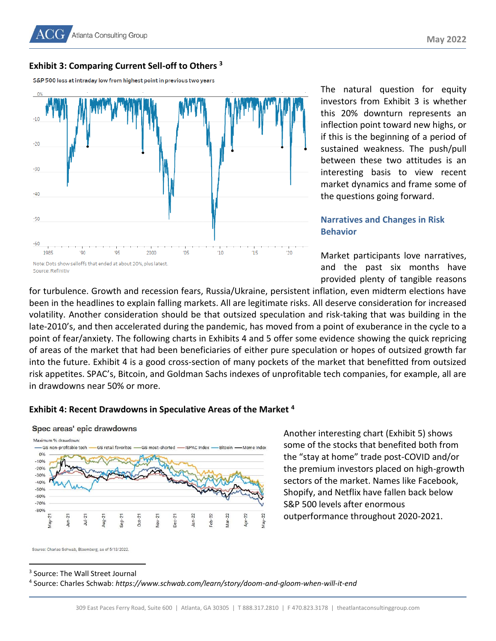## **Exhibit 3: Comparing Current Sell-off to Others <sup>3</sup>**

S&P 500 loss at intraday low from highest point in previous two years



The natural question for equity investors from Exhibit 3 is whether this 20% downturn represents an inflection point toward new highs, or if this is the beginning of a period of sustained weakness. The push/pull between these two attitudes is an interesting basis to view recent market dynamics and frame some of the questions going forward.

# **Narratives and Changes in Risk Behavior**

Market participants love narratives, and the past six months have provided plenty of tangible reasons

for turbulence. Growth and recession fears, Russia/Ukraine, persistent inflation, even midterm elections have been in the headlines to explain falling markets. All are legitimate risks. All deserve consideration for increased volatility. Another consideration should be that outsized speculation and risk-taking that was building in the late-2010's, and then accelerated during the pandemic, has moved from a point of exuberance in the cycle to a point of fear/anxiety. The following charts in Exhibits 4 and 5 offer some evidence showing the quick repricing of areas of the market that had been beneficiaries of either pure speculation or hopes of outsized growth far into the future. Exhibit 4 is a good cross-section of many pockets of the market that benefitted from outsized risk appetites. SPAC's, Bitcoin, and Goldman Sachs indexes of unprofitable tech companies, for example, all are in drawdowns near 50% or more.

#### **Exhibit 4: Recent Drawdowns in Speculative Areas of the Market <sup>4</sup>**



Spec areas' epic drawdowns

Another interesting chart (Exhibit 5) shows some of the stocks that benefited both from the "stay at home" trade post-COVID and/or the premium investors placed on high-growth sectors of the market. Names like Facebook, Shopify, and Netflix have fallen back below S&P 500 levels after enormous outperformance throughout 2020-2021.

Source: Charles Schwab, Bloomberg, as of 5/13/2022

3 Source: The Wall Street Journal

4 Source: Charles Schwab: *https://www.schwab.com/learn/story/doom-and-gloom-when-will-it-end*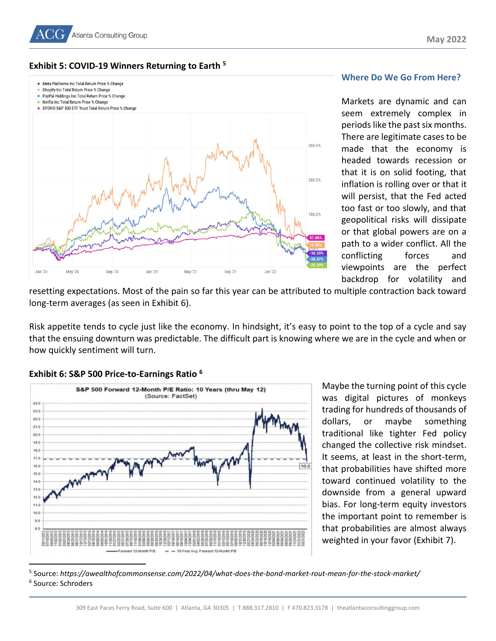



#### **Where Do We Go From Here?**

Markets are dynamic and can seem extremely complex in periods like the past six months. There are legitimate cases to be made that the economy is headed towards recession or that it is on solid footing, that inflation is rolling over or that it will persist, that the Fed acted too fast or too slowly, and that geopolitical risks will dissipate or that global powers are on a path to a wider conflict. All the conflicting forces and viewpoints are the perfect backdrop for volatility and

resetting expectations. Most of the pain so far this year can be attributed to multiple contraction back toward long-term averages (as seen in Exhibit 6).

Risk appetite tends to cycle just like the economy. In hindsight, it's easy to point to the top of a cycle and say that the ensuing downturn was predictable. The difficult part is knowing where we are in the cycle and when or how quickly sentiment will turn.





Maybe the turning point of this cycle was digital pictures of monkeys trading for hundreds of thousands of dollars, or maybe something traditional like tighter Fed policy changed the collective risk mindset. It seems, at least in the short-term, that probabilities have shifted more toward continued volatility to the downside from a general upward bias. For long-term equity investors the important point to remember is that probabilities are almost always weighted in your favor (Exhibit 7).

5 Source: *https://awealthofcommonsense.com/2022/04/what-does-the-bond-market-rout-mean-for-the-stock-market/* 6 Source: Schroders